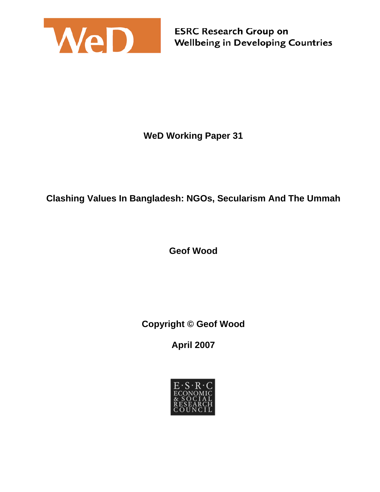

**WeD Working Paper 31** 

# **Clashing Values In Bangladesh: NGOs, Secularism And The Ummah**

**Geof Wood** 

**Copyright © Geof Wood**

**April 2007** 

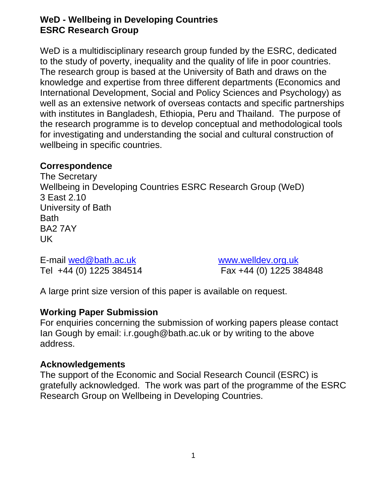### **WeD - Wellbeing in Developing Countries ESRC Research Group**

WeD is a multidisciplinary research group funded by the ESRC, dedicated to the study of poverty, inequality and the quality of life in poor countries. The research group is based at the University of Bath and draws on the knowledge and expertise from three different departments (Economics and International Development, Social and Policy Sciences and Psychology) as well as an extensive network of overseas contacts and specific partnerships with institutes in Bangladesh, Ethiopia, Peru and Thailand. The purpose of the research programme is to develop conceptual and methodological tools for investigating and understanding the social and cultural construction of wellbeing in specific countries.

#### **Correspondence**

The Secretary Wellbeing in Developing Countries ESRC Research Group (WeD) 3 East 2.10 University of Bath Bath BA2 7AY UK

E-mail wed@bath.ac.uk www.welldev.org.uk

Tel +44 (0) 1225 384514 Fax +44 (0) 1225 384848

A large print size version of this paper is available on request.

#### **Working Paper Submission**

For enquiries concerning the submission of working papers please contact Ian Gough by email: i.r.gough@bath.ac.uk or by writing to the above address.

#### **Acknowledgements**

The support of the Economic and Social Research Council (ESRC) is gratefully acknowledged. The work was part of the programme of the ESRC Research Group on Wellbeing in Developing Countries.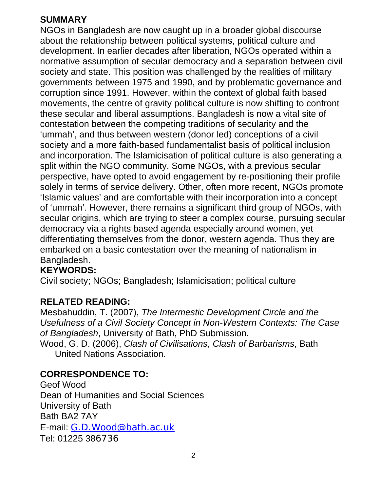# **SUMMARY**

NGOs in Bangladesh are now caught up in a broader global discourse about the relationship between political systems, political culture and development. In earlier decades after liberation, NGOs operated within a normative assumption of secular democracy and a separation between civil society and state. This position was challenged by the realities of military governments between 1975 and 1990, and by problematic governance and corruption since 1991. However, within the context of global faith based movements, the centre of gravity political culture is now shifting to confront these secular and liberal assumptions. Bangladesh is now a vital site of contestation between the competing traditions of secularity and the 'ummah', and thus between western (donor led) conceptions of a civil society and a more faith-based fundamentalist basis of political inclusion and incorporation. The Islamicisation of political culture is also generating a split within the NGO community. Some NGOs, with a previous secular perspective, have opted to avoid engagement by re-positioning their profile solely in terms of service delivery. Other, often more recent, NGOs promote 'Islamic values' and are comfortable with their incorporation into a concept of 'ummah'. However, there remains a significant third group of NGOs, with secular origins, which are trying to steer a complex course, pursuing secular democracy via a rights based agenda especially around women, yet differentiating themselves from the donor, western agenda. Thus they are embarked on a basic contestation over the meaning of nationalism in Bangladesh.

### **KEYWORDS:**

Civil society; NGOs; Bangladesh; Islamicisation; political culture

### **RELATED READING:**

Mesbahuddin, T. (2007), *The Intermestic Development Circle and the Usefulness of a Civil Society Concept in Non-Western Contexts: The Case of Bangladesh*, University of Bath, PhD Submission. Wood, G. D. (2006), *Clash of Civilisations, Clash of Barbarisms*, Bath

United Nations Association.

### **CORRESPONDENCE TO:**

Geof Wood Dean of Humanities and Social Sciences University of Bath Bath BA2 7AY E-mail: G.D.Wood@bath.ac.uk Tel: 01225 386736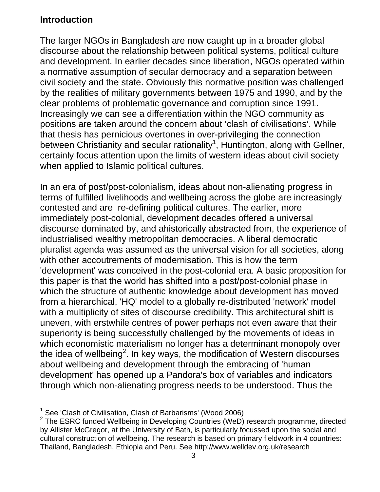# **Introduction**

The larger NGOs in Bangladesh are now caught up in a broader global discourse about the relationship between political systems, political culture and development. In earlier decades since liberation, NGOs operated within a normative assumption of secular democracy and a separation between civil society and the state. Obviously this normative position was challenged by the realities of military governments between 1975 and 1990, and by the clear problems of problematic governance and corruption since 1991. Increasingly we can see a differentiation within the NGO community as positions are taken around the concern about 'clash of civilisations'. While that thesis has pernicious overtones in over-privileging the connection between Christianity and secular rationality<sup>1</sup>, Huntington, along with Gellner, certainly focus attention upon the limits of western ideas about civil society when applied to Islamic political cultures.

In an era of post/post-colonialism, ideas about non-alienating progress in terms of fulfilled livelihoods and wellbeing across the globe are increasingly contested and are re-defining political cultures. The earlier, more immediately post-colonial, development decades offered a universal discourse dominated by, and ahistorically abstracted from, the experience of industrialised wealthy metropolitan democracies. A liberal democratic pluralist agenda was assumed as the universal vision for all societies, along with other accoutrements of modernisation. This is how the term 'development' was conceived in the post-colonial era. A basic proposition for this paper is that the world has shifted into a post/post-colonial phase in which the structure of authentic knowledge about development has moved from a hierarchical, 'HQ' model to a globally re-distributed 'network' model with a multiplicity of sites of discourse credibility. This architectural shift is uneven, with erstwhile centres of power perhaps not even aware that their superiority is being successfully challenged by the movements of ideas in which economistic materialism no longer has a determinant monopoly over the idea of wellbeing<sup>2</sup>. In key ways, the modification of Western discourses about wellbeing and development through the embracing of 'human development' has opened up a Pandora's box of variables and indicators through which non-alienating progress needs to be understood. Thus the

l <sup>1</sup> See 'Clash of Civilisation, Clash of Barbarisms' (Wood 2006)<br><sup>2</sup> The ESBC funded Wellbeing in Daveloping Countries (WeD)

 $2$  The ESRC funded Wellbeing in Developing Countries (WeD) research programme, directed by Allister McGregor, at the University of Bath, is particularly focussed upon the social and cultural construction of wellbeing. The research is based on primary fieldwork in 4 countries: Thailand, Bangladesh, Ethiopia and Peru. See http://www.welldev.org.uk/research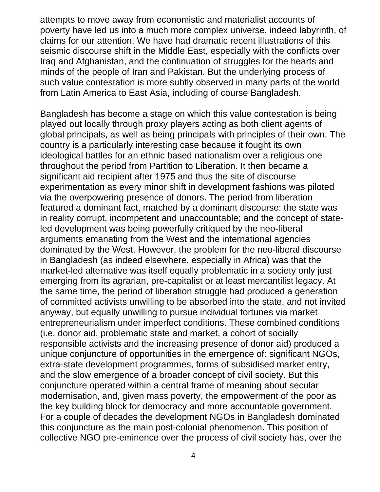attempts to move away from economistic and materialist accounts of poverty have led us into a much more complex universe, indeed labyrinth, of claims for our attention. We have had dramatic recent illustrations of this seismic discourse shift in the Middle East, especially with the conflicts over Iraq and Afghanistan, and the continuation of struggles for the hearts and minds of the people of Iran and Pakistan. But the underlying process of such value contestation is more subtly observed in many parts of the world from Latin America to East Asia, including of course Bangladesh.

Bangladesh has become a stage on which this value contestation is being played out locally through proxy players acting as both client agents of global principals, as well as being principals with principles of their own. The country is a particularly interesting case because it fought its own ideological battles for an ethnic based nationalism over a religious one throughout the period from Partition to Liberation. It then became a significant aid recipient after 1975 and thus the site of discourse experimentation as every minor shift in development fashions was piloted via the overpowering presence of donors. The period from liberation featured a dominant fact, matched by a dominant discourse: the state was in reality corrupt, incompetent and unaccountable; and the concept of stateled development was being powerfully critiqued by the neo-liberal arguments emanating from the West and the international agencies dominated by the West. However, the problem for the neo-liberal discourse in Bangladesh (as indeed elsewhere, especially in Africa) was that the market-led alternative was itself equally problematic in a society only just emerging from its agrarian, pre-capitalist or at least mercantilist legacy. At the same time, the period of liberation struggle had produced a generation of committed activists unwilling to be absorbed into the state, and not invited anyway, but equally unwilling to pursue individual fortunes via market entrepreneurialism under imperfect conditions. These combined conditions (i.e. donor aid, problematic state and market, a cohort of socially responsible activists and the increasing presence of donor aid) produced a unique conjuncture of opportunities in the emergence of: significant NGOs, extra-state development programmes, forms of subsidised market entry, and the slow emergence of a broader concept of civil society. But this conjuncture operated within a central frame of meaning about secular modernisation, and, given mass poverty, the empowerment of the poor as the key building block for democracy and more accountable government. For a couple of decades the development NGOs in Bangladesh dominated this conjuncture as the main post-colonial phenomenon. This position of collective NGO pre-eminence over the process of civil society has, over the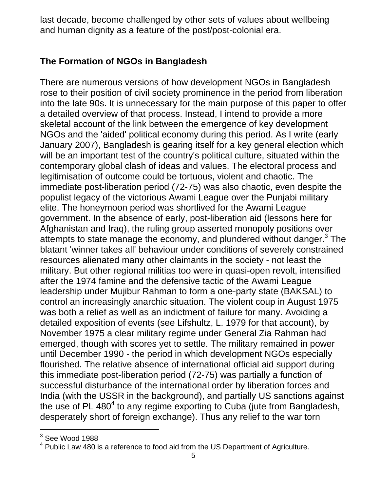last decade, become challenged by other sets of values about wellbeing and human dignity as a feature of the post/post-colonial era.

### **The Formation of NGOs in Bangladesh**

There are numerous versions of how development NGOs in Bangladesh rose to their position of civil society prominence in the period from liberation into the late 90s. It is unnecessary for the main purpose of this paper to offer a detailed overview of that process. Instead, I intend to provide a more skeletal account of the link between the emergence of key development NGOs and the 'aided' political economy during this period. As I write (early January 2007), Bangladesh is gearing itself for a key general election which will be an important test of the country's political culture, situated within the contemporary global clash of ideas and values. The electoral process and legitimisation of outcome could be tortuous, violent and chaotic. The immediate post-liberation period (72-75) was also chaotic, even despite the populist legacy of the victorious Awami League over the Punjabi military elite. The honeymoon period was shortlived for the Awami League government. In the absence of early, post-liberation aid (lessons here for Afghanistan and Iraq), the ruling group asserted monopoly positions over attempts to state manage the economy, and plundered without danger.<sup>3</sup> The blatant 'winner takes all' behaviour under conditions of severely constrained resources alienated many other claimants in the society - not least the military. But other regional militias too were in quasi-open revolt, intensified after the 1974 famine and the defensive tactic of the Awami League leadership under Mujibur Rahman to form a one-party state (BAKSAL) to control an increasingly anarchic situation. The violent coup in August 1975 was both a relief as well as an indictment of failure for many. Avoiding a detailed exposition of events (see Lifshultz, L. 1979 for that account), by November 1975 a clear military regime under General Zia Rahman had emerged, though with scores yet to settle. The military remained in power until December 1990 - the period in which development NGOs especially flourished. The relative absence of international official aid support during this immediate post-liberation period (72-75) was partially a function of successful disturbance of the international order by liberation forces and India (with the USSR in the background), and partially US sanctions against the use of PL 480 $4$  to any regime exporting to Cuba (jute from Bangladesh, desperately short of foreign exchange). Thus any relief to the war torn

 $3$  See Wood 1988

 $4$  Public Law 480 is a reference to food aid from the US Department of Agriculture.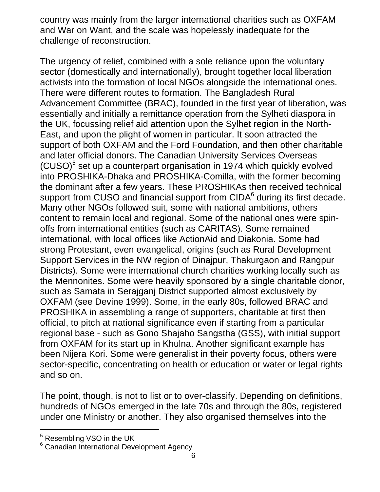country was mainly from the larger international charities such as OXFAM and War on Want, and the scale was hopelessly inadequate for the challenge of reconstruction.

The urgency of relief, combined with a sole reliance upon the voluntary sector (domestically and internationally), brought together local liberation activists into the formation of local NGOs alongside the international ones. There were different routes to formation. The Bangladesh Rural Advancement Committee (BRAC), founded in the first year of liberation, was essentially and initially a remittance operation from the Sylheti diaspora in the UK, focussing relief aid attention upon the Sylhet region in the North-East, and upon the plight of women in particular. It soon attracted the support of both OXFAM and the Ford Foundation, and then other charitable and later official donors. The Canadian University Services Overseas  $(CUSO)<sup>5</sup>$  set up a counterpart organisation in 1974 which quickly evolved into PROSHIKA-Dhaka and PROSHIKA-Comilla, with the former becoming the dominant after a few years. These PROSHIKAs then received technical support from CUSO and financial support from CIDA<sup>6</sup> during its first decade. Many other NGOs followed suit, some with national ambitions, others content to remain local and regional. Some of the national ones were spinoffs from international entities (such as CARITAS). Some remained international, with local offices like ActionAid and Diakonia. Some had strong Protestant, even evangelical, origins (such as Rural Development Support Services in the NW region of Dinajpur, Thakurgaon and Rangpur Districts). Some were international church charities working locally such as the Mennonites. Some were heavily sponsored by a single charitable donor, such as Samata in Serajganj District supported almost exclusively by OXFAM (see Devine 1999). Some, in the early 80s, followed BRAC and PROSHIKA in assembling a range of supporters, charitable at first then official, to pitch at national significance even if starting from a particular regional base - such as Gono Shajaho Sangstha (GSS), with initial support from OXFAM for its start up in Khulna. Another significant example has been Nijera Kori. Some were generalist in their poverty focus, others were sector-specific, concentrating on health or education or water or legal rights and so on.

The point, though, is not to list or to over-classify. Depending on definitions, hundreds of NGOs emerged in the late 70s and through the 80s, registered under one Ministry or another. They also organised themselves into the

<sup>&</sup>lt;sup>5</sup> Resembling VSO in the UK

<sup>6</sup> Canadian International Development Agency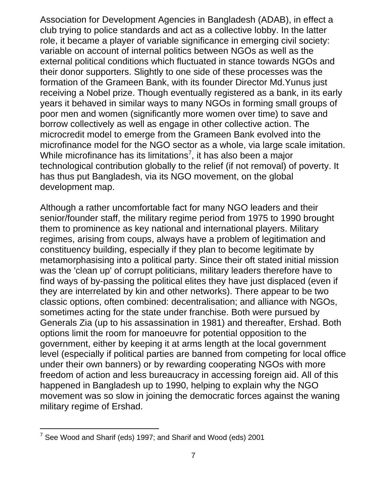Association for Development Agencies in Bangladesh (ADAB), in effect a club trying to police standards and act as a collective lobby. In the latter role, it became a player of variable significance in emerging civil society: variable on account of internal politics between NGOs as well as the external political conditions which fluctuated in stance towards NGOs and their donor supporters. Slightly to one side of these processes was the formation of the Grameen Bank, with its founder Director Md.Yunus just receiving a Nobel prize. Though eventually registered as a bank, in its early years it behaved in similar ways to many NGOs in forming small groups of poor men and women (significantly more women over time) to save and borrow collectively as well as engage in other collective action. The microcredit model to emerge from the Grameen Bank evolved into the microfinance model for the NGO sector as a whole, via large scale imitation. While microfinance has its limitations<sup>7</sup>, it has also been a major technological contribution globally to the relief (if not removal) of poverty. It has thus put Bangladesh, via its NGO movement, on the global development map.

Although a rather uncomfortable fact for many NGO leaders and their senior/founder staff, the military regime period from 1975 to 1990 brought them to prominence as key national and international players. Military regimes, arising from coups, always have a problem of legitimation and constituency building, especially if they plan to become legitimate by metamorphasising into a political party. Since their oft stated initial mission was the 'clean up' of corrupt politicians, military leaders therefore have to find ways of by-passing the political elites they have just displaced (even if they are interrelated by kin and other networks). There appear to be two classic options, often combined: decentralisation; and alliance with NGOs, sometimes acting for the state under franchise. Both were pursued by Generals Zia (up to his assassination in 1981) and thereafter, Ershad. Both options limit the room for manoeuvre for potential opposition to the government, either by keeping it at arms length at the local government level (especially if political parties are banned from competing for local office under their own banners) or by rewarding cooperating NGOs with more freedom of action and less bureaucracy in accessing foreign aid. All of this happened in Bangladesh up to 1990, helping to explain why the NGO movement was so slow in joining the democratic forces against the waning military regime of Ershad.

l  $7$  See Wood and Sharif (eds) 1997; and Sharif and Wood (eds) 2001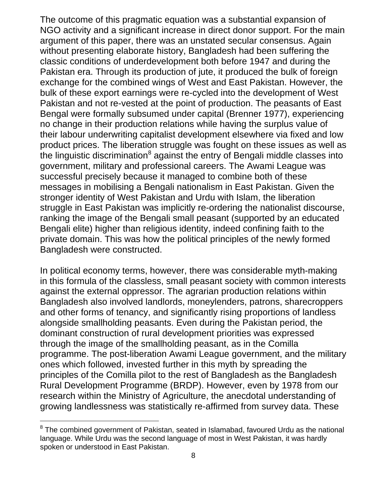The outcome of this pragmatic equation was a substantial expansion of NGO activity and a significant increase in direct donor support. For the main argument of this paper, there was an unstated secular consensus. Again without presenting elaborate history, Bangladesh had been suffering the classic conditions of underdevelopment both before 1947 and during the Pakistan era. Through its production of jute, it produced the bulk of foreign exchange for the combined wings of West and East Pakistan. However, the bulk of these export earnings were re-cycled into the development of West Pakistan and not re-vested at the point of production. The peasants of East Bengal were formally subsumed under capital (Brenner 1977), experiencing no change in their production relations while having the surplus value of their labour underwriting capitalist development elsewhere via fixed and low product prices. The liberation struggle was fought on these issues as well as the linguistic discrimination $^8$  against the entry of Bengali middle classes into government, military and professional careers. The Awami League was successful precisely because it managed to combine both of these messages in mobilising a Bengali nationalism in East Pakistan. Given the stronger identity of West Pakistan and Urdu with Islam, the liberation struggle in East Pakistan was implicitly re-ordering the nationalist discourse, ranking the image of the Bengali small peasant (supported by an educated Bengali elite) higher than religious identity, indeed confining faith to the private domain. This was how the political principles of the newly formed Bangladesh were constructed.

In political economy terms, however, there was considerable myth-making in this formula of the classless, small peasant society with common interests against the external oppressor. The agrarian production relations within Bangladesh also involved landlords, moneylenders, patrons, sharecroppers and other forms of tenancy, and significantly rising proportions of landless alongside smallholding peasants. Even during the Pakistan period, the dominant construction of rural development priorities was expressed through the image of the smallholding peasant, as in the Comilla programme. The post-liberation Awami League government, and the military ones which followed, invested further in this myth by spreading the principles of the Comilla pilot to the rest of Bangladesh as the Bangladesh Rural Development Programme (BRDP). However, even by 1978 from our research within the Ministry of Agriculture, the anecdotal understanding of growing landlessness was statistically re-affirmed from survey data. These

 $8$  The combined government of Pakistan, seated in Islamabad, favoured Urdu as the national language. While Urdu was the second language of most in West Pakistan, it was hardly spoken or understood in East Pakistan.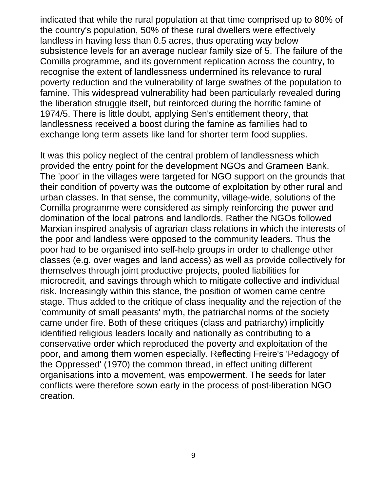indicated that while the rural population at that time comprised up to 80% of the country's population, 50% of these rural dwellers were effectively landless in having less than 0.5 acres, thus operating way below subsistence levels for an average nuclear family size of 5. The failure of the Comilla programme, and its government replication across the country, to recognise the extent of landlessness undermined its relevance to rural poverty reduction and the vulnerability of large swathes of the population to famine. This widespread vulnerability had been particularly revealed during the liberation struggle itself, but reinforced during the horrific famine of 1974/5. There is little doubt, applying Sen's entitlement theory, that landlessness received a boost during the famine as families had to exchange long term assets like land for shorter term food supplies.

It was this policy neglect of the central problem of landlessness which provided the entry point for the development NGOs and Grameen Bank. The 'poor' in the villages were targeted for NGO support on the grounds that their condition of poverty was the outcome of exploitation by other rural and urban classes. In that sense, the community, village-wide, solutions of the Comilla programme were considered as simply reinforcing the power and domination of the local patrons and landlords. Rather the NGOs followed Marxian inspired analysis of agrarian class relations in which the interests of the poor and landless were opposed to the community leaders. Thus the poor had to be organised into self-help groups in order to challenge other classes (e.g. over wages and land access) as well as provide collectively for themselves through joint productive projects, pooled liabilities for microcredit, and savings through which to mitigate collective and individual risk. Increasingly within this stance, the position of women came centre stage. Thus added to the critique of class inequality and the rejection of the 'community of small peasants' myth, the patriarchal norms of the society came under fire. Both of these critiques (class and patriarchy) implicitly identified religious leaders locally and nationally as contributing to a conservative order which reproduced the poverty and exploitation of the poor, and among them women especially. Reflecting Freire's 'Pedagogy of the Oppressed' (1970) the common thread, in effect uniting different organisations into a movement, was empowerment. The seeds for later conflicts were therefore sown early in the process of post-liberation NGO creation.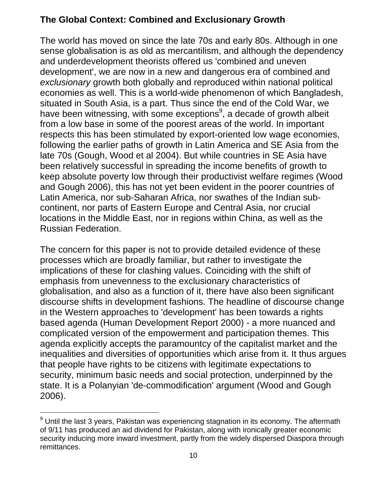# **The Global Context: Combined and Exclusionary Growth**

The world has moved on since the late 70s and early 80s. Although in one sense globalisation is as old as mercantilism, and although the dependency and underdevelopment theorists offered us 'combined and uneven development', we are now in a new and dangerous era of combined and *exclusionary* growth both globally and reproduced within national political economies as well. This is a world-wide phenomenon of which Bangladesh, situated in South Asia, is a part. Thus since the end of the Cold War, we have been witnessing, with some exceptions<sup>9</sup>, a decade of growth albeit from a low base in some of the poorest areas of the world. In important respects this has been stimulated by export-oriented low wage economies, following the earlier paths of growth in Latin America and SE Asia from the late 70s (Gough, Wood et al 2004). But while countries in SE Asia have been relatively successful in spreading the income benefits of growth to keep absolute poverty low through their productivist welfare regimes (Wood and Gough 2006), this has not yet been evident in the poorer countries of Latin America, nor sub-Saharan Africa, nor swathes of the Indian subcontinent, nor parts of Eastern Europe and Central Asia, nor crucial locations in the Middle East, nor in regions within China, as well as the Russian Federation.

The concern for this paper is not to provide detailed evidence of these processes which are broadly familiar, but rather to investigate the implications of these for clashing values. Coinciding with the shift of emphasis from unevenness to the exclusionary characteristics of globalisation, and also as a function of it, there have also been significant discourse shifts in development fashions. The headline of discourse change in the Western approaches to 'development' has been towards a rights based agenda (Human Development Report 2000) - a more nuanced and complicated version of the empowerment and participation themes. This agenda explicitly accepts the paramountcy of the capitalist market and the inequalities and diversities of opportunities which arise from it. It thus argues that people have rights to be citizens with legitimate expectations to security, minimum basic needs and social protection, underpinned by the state. It is a Polanyian 'de-commodification' argument (Wood and Gough 2006).

 $^{9}$  Until the last 3 years, Pakistan was experiencing stagnation in its economy. The aftermath of 9/11 has produced an aid dividend for Pakistan, along with ironically greater economic security inducing more inward investment, partly from the widely dispersed Diaspora through remittances.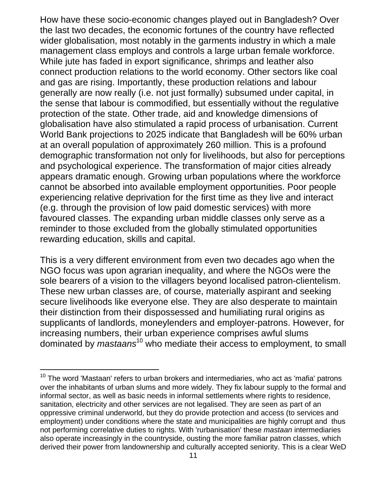How have these socio-economic changes played out in Bangladesh? Over the last two decades, the economic fortunes of the country have reflected wider globalisation, most notably in the garments industry in which a male management class employs and controls a large urban female workforce. While jute has faded in export significance, shrimps and leather also connect production relations to the world economy. Other sectors like coal and gas are rising. Importantly, these production relations and labour generally are now really (i.e. not just formally) subsumed under capital, in the sense that labour is commodified, but essentially without the regulative protection of the state. Other trade, aid and knowledge dimensions of globalisation have also stimulated a rapid process of urbanisation. Current World Bank projections to 2025 indicate that Bangladesh will be 60% urban at an overall population of approximately 260 million. This is a profound demographic transformation not only for livelihoods, but also for perceptions and psychological experience. The transformation of major cities already appears dramatic enough. Growing urban populations where the workforce cannot be absorbed into available employment opportunities. Poor people experiencing relative deprivation for the first time as they live and interact (e.g. through the provision of low paid domestic services) with more favoured classes. The expanding urban middle classes only serve as a reminder to those excluded from the globally stimulated opportunities rewarding education, skills and capital.

This is a very different environment from even two decades ago when the NGO focus was upon agrarian inequality, and where the NGOs were the sole bearers of a vision to the villagers beyond localised patron-clientelism. These new urban classes are, of course, materially aspirant and seeking secure livelihoods like everyone else. They are also desperate to maintain their distinction from their dispossessed and humiliating rural origins as supplicants of landlords, moneylenders and employer-patrons. However, for increasing numbers, their urban experience comprises awful slums dominated by *mastaans*10 who mediate their access to employment, to small

 $10$  The word 'Mastaan' refers to urban brokers and intermediaries, who act as 'mafia' patrons over the inhabitants of urban slums and more widely. They fix labour supply to the formal and informal sector, as well as basic needs in informal settlements where rights to residence, sanitation, electricity and other services are not legalised. They are seen as part of an oppressive criminal underworld, but they do provide protection and access (to services and employment) under conditions where the state and municipalities are highly corrupt and thus not performing correlative duties to rights. With 'rurbanisation' these *mastaan* intermediaries also operate increasingly in the countryside, ousting the more familiar patron classes, which derived their power from landownership and culturally accepted seniority. This is a clear WeD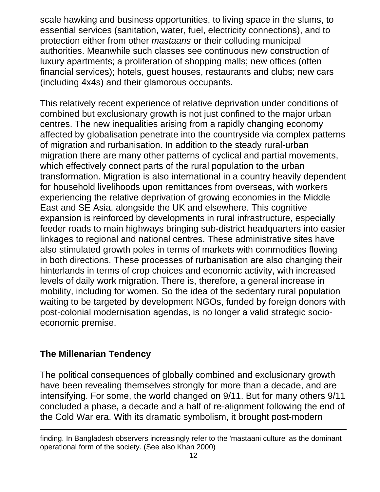scale hawking and business opportunities, to living space in the slums, to essential services (sanitation, water, fuel, electricity connections), and to protection either from other *mastaans* or their colluding municipal authorities. Meanwhile such classes see continuous new construction of luxury apartments; a proliferation of shopping malls; new offices (often financial services); hotels, guest houses, restaurants and clubs; new cars (including 4x4s) and their glamorous occupants.

This relatively recent experience of relative deprivation under conditions of combined but exclusionary growth is not just confined to the major urban centres. The new inequalities arising from a rapidly changing economy affected by globalisation penetrate into the countryside via complex patterns of migration and rurbanisation. In addition to the steady rural-urban migration there are many other patterns of cyclical and partial movements, which effectively connect parts of the rural population to the urban transformation. Migration is also international in a country heavily dependent for household livelihoods upon remittances from overseas, with workers experiencing the relative deprivation of growing economies in the Middle East and SE Asia, alongside the UK and elsewhere. This cognitive expansion is reinforced by developments in rural infrastructure, especially feeder roads to main highways bringing sub-district headquarters into easier linkages to regional and national centres. These administrative sites have also stimulated growth poles in terms of markets with commodities flowing in both directions. These processes of rurbanisation are also changing their hinterlands in terms of crop choices and economic activity, with increased levels of daily work migration. There is, therefore, a general increase in mobility, including for women. So the idea of the sedentary rural population waiting to be targeted by development NGOs, funded by foreign donors with post-colonial modernisation agendas, is no longer a valid strategic socioeconomic premise.

### **The Millenarian Tendency**

l

The political consequences of globally combined and exclusionary growth have been revealing themselves strongly for more than a decade, and are intensifying. For some, the world changed on 9/11. But for many others 9/11 concluded a phase, a decade and a half of re-alignment following the end of the Cold War era. With its dramatic symbolism, it brought post-modern

finding. In Bangladesh observers increasingly refer to the 'mastaani culture' as the dominant operational form of the society. (See also Khan 2000)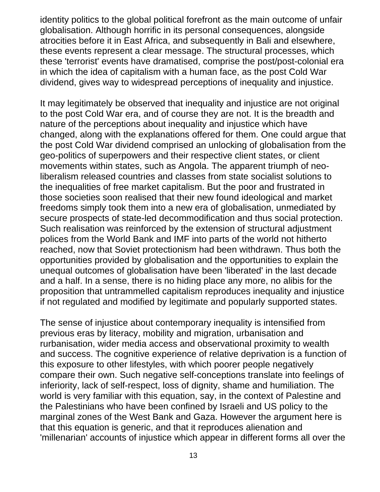identity politics to the global political forefront as the main outcome of unfair globalisation. Although horrific in its personal consequences, alongside atrocities before it in East Africa, and subsequently in Bali and elsewhere, these events represent a clear message. The structural processes, which these 'terrorist' events have dramatised, comprise the post/post-colonial era in which the idea of capitalism with a human face, as the post Cold War dividend, gives way to widespread perceptions of inequality and injustice.

It may legitimately be observed that inequality and injustice are not original to the post Cold War era, and of course they are not. It is the breadth and nature of the perceptions about inequality and injustice which have changed, along with the explanations offered for them. One could argue that the post Cold War dividend comprised an unlocking of globalisation from the geo-politics of superpowers and their respective client states, or client movements within states, such as Angola. The apparent triumph of neoliberalism released countries and classes from state socialist solutions to the inequalities of free market capitalism. But the poor and frustrated in those societies soon realised that their new found ideological and market freedoms simply took them into a new era of globalisation, unmediated by secure prospects of state-led decommodification and thus social protection. Such realisation was reinforced by the extension of structural adjustment polices from the World Bank and IMF into parts of the world not hitherto reached, now that Soviet protectionism had been withdrawn. Thus both the opportunities provided by globalisation and the opportunities to explain the unequal outcomes of globalisation have been 'liberated' in the last decade and a half. In a sense, there is no hiding place any more, no alibis for the proposition that untrammelled capitalism reproduces inequality and injustice if not regulated and modified by legitimate and popularly supported states.

The sense of injustice about contemporary inequality is intensified from previous eras by literacy, mobility and migration, urbanisation and rurbanisation, wider media access and observational proximity to wealth and success. The cognitive experience of relative deprivation is a function of this exposure to other lifestyles, with which poorer people negatively compare their own. Such negative self-conceptions translate into feelings of inferiority, lack of self-respect, loss of dignity, shame and humiliation. The world is very familiar with this equation, say, in the context of Palestine and the Palestinians who have been confined by Israeli and US policy to the marginal zones of the West Bank and Gaza. However the argument here is that this equation is generic, and that it reproduces alienation and 'millenarian' accounts of injustice which appear in different forms all over the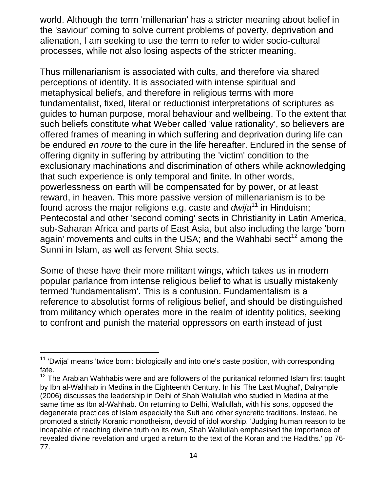world. Although the term 'millenarian' has a stricter meaning about belief in the 'saviour' coming to solve current problems of poverty, deprivation and alienation, I am seeking to use the term to refer to wider socio-cultural processes, while not also losing aspects of the stricter meaning.

Thus millenarianism is associated with cults, and therefore via shared perceptions of identity. It is associated with intense spiritual and metaphysical beliefs, and therefore in religious terms with more fundamentalist, fixed, literal or reductionist interpretations of scriptures as guides to human purpose, moral behaviour and wellbeing. To the extent that such beliefs constitute what Weber called 'value rationality', so believers are offered frames of meaning in which suffering and deprivation during life can be endured *en route* to the cure in the life hereafter. Endured in the sense of offering dignity in suffering by attributing the 'victim' condition to the exclusionary machinations and discrimination of others while acknowledging that such experience is only temporal and finite. In other words, powerlessness on earth will be compensated for by power, or at least reward, in heaven. This more passive version of millenarianism is to be found across the major religions e.g. caste and *dwija*11 in Hinduism; Pentecostal and other 'second coming' sects in Christianity in Latin America, sub-Saharan Africa and parts of East Asia, but also including the large 'born again' movements and cults in the USA; and the Wahhabi sect<sup>12</sup> among the Sunni in Islam, as well as fervent Shia sects.

Some of these have their more militant wings, which takes us in modern popular parlance from intense religious belief to what is usually mistakenly termed 'fundamentalism'. This is a confusion. Fundamentalism is a reference to absolutist forms of religious belief, and should be distinguished from militancy which operates more in the realm of identity politics, seeking to confront and punish the material oppressors on earth instead of just

l  $11$  'Dwija' means 'twice born': biologically and into one's caste position, with corresponding fate.

<sup>&</sup>lt;sup>12</sup> The Arabian Wahhabis were and are followers of the puritanical reformed Islam first taught by Ibn al-Wahhab in Medina in the Eighteenth Century. In his 'The Last Mughal', Dalrymple (2006) discusses the leadership in Delhi of Shah Waliullah who studied in Medina at the same time as Ibn al-Wahhab. On returning to Delhi, Waliullah, with his sons, opposed the degenerate practices of Islam especially the Sufi and other syncretic traditions. Instead, he promoted a strictly Koranic monotheism, devoid of idol worship. 'Judging human reason to be incapable of reaching divine truth on its own, Shah Waliullah emphasised the importance of revealed divine revelation and urged a return to the text of the Koran and the Hadiths.' pp 76- 77.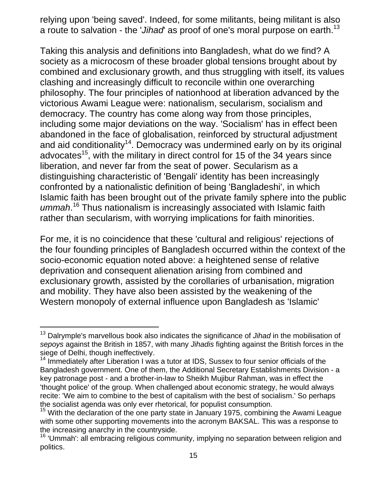relying upon 'being saved'. Indeed, for some militants, being militant is also a route to salvation - the '*Jihad*' as proof of one's moral purpose on earth.<sup>13</sup>

Taking this analysis and definitions into Bangladesh, what do we find? A society as a microcosm of these broader global tensions brought about by combined and exclusionary growth, and thus struggling with itself, its values clashing and increasingly difficult to reconcile within one overarching philosophy. The four principles of nationhood at liberation advanced by the victorious Awami League were: nationalism, secularism, socialism and democracy. The country has come along way from those principles, including some major deviations on the way. 'Socialism' has in effect been abandoned in the face of globalisation, reinforced by structural adjustment and aid conditionality<sup>14</sup>. Democracy was undermined early on by its original advocates<sup>15</sup>, with the military in direct control for 15 of the 34 years since liberation, and never far from the seat of power. Secularism as a distinguishing characteristic of 'Bengali' identity has been increasingly confronted by a nationalistic definition of being 'Bangladeshi', in which Islamic faith has been brought out of the private family sphere into the public ummah.<sup>16</sup> Thus nationalism is increasingly associated with Islamic faith rather than secularism, with worrying implications for faith minorities.

For me, it is no coincidence that these 'cultural and religious' rejections of the four founding principles of Bangladesh occurred within the context of the socio-economic equation noted above: a heightened sense of relative deprivation and consequent alienation arising from combined and exclusionary growth, assisted by the corollaries of urbanisation, migration and mobility. They have also been assisted by the weakening of the Western monopoly of external influence upon Bangladesh as 'Islamic'

<sup>&</sup>lt;sup>13</sup> Dalrymple's marvellous book also indicates the significance of *Jihad* in the mobilisation of *sepoys* against the British in 1857, with many *Jihadis* fighting against the British forces in the siege of Delhi, though ineffectively.

 $14$  Immediately after Liberation I was a tutor at IDS, Sussex to four senior officials of the Bangladesh government. One of them, the Additional Secretary Establishments Division - a key patronage post - and a brother-in-law to Sheikh Mujibur Rahman, was in effect the 'thought police' of the group. When challenged about economic strategy, he would always recite: 'We aim to combine to the best of capitalism with the best of socialism.' So perhaps the socialist agenda was only ever rhetorical, for populist consumption.<br><sup>15</sup> With the declaration of the one party state in January 1975, combining the Awami League

with some other supporting movements into the acronym BAKSAL. This was a response to the increasing anarchy in the countryside.

<sup>&</sup>lt;sup>16</sup> 'Ummah': all embracing religious community, implying no separation between religion and politics.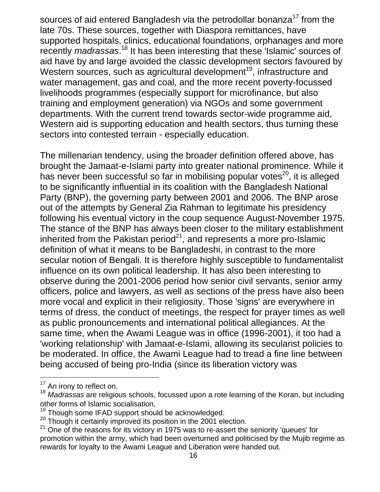sources of aid entered Bangladesh via the petrodollar bonanza<sup>17</sup> from the late 70s. These sources, together with Diaspora remittances, have supported hospitals, clinics, educational foundations, orphanages and more recently *madrassas*.<sup>18</sup> It has been interesting that these 'Islamic' sources of aid have by and large avoided the classic development sectors favoured by Western sources, such as agricultural development<sup>19</sup>, infrastructure and water management, gas and coal, and the more recent poverty-focussed livelihoods programmes (especially support for microfinance, but also training and employment generation) via NGOs and some government departments. With the current trend towards sector-wide programme aid, Western aid is supporting education and health sectors, thus turning these sectors into contested terrain - especially education.

The millenarian tendency, using the broader definition offered above, has brought the Jamaat-e-Islami party into greater national prominence. While it has never been successful so far in mobilising popular votes<sup>20</sup>, it is alleged to be significantly influential in its coalition with the Bangladesh National Party (BNP), the governing party between 2001 and 2006. The BNP arose out of the attempts by General Zia Rahman to legitimate his presidency following his eventual victory in the coup sequence August-November 1975. The stance of the BNP has always been closer to the military establishment inherited from the Pakistan period<sup>21</sup>, and represents a more pro-Islamic definition of what it means to be Bangladeshi, in contrast to the more secular notion of Bengali. It is therefore highly susceptible to fundamentalist influence on its own political leadership. It has also been interesting to observe during the 2001-2006 period how senior civil servants, senior army officers, police and lawyers, as well as sections of the press have also been more vocal and explicit in their religiosity. Those 'signs' are everywhere in terms of dress, the conduct of meetings, the respect for prayer times as well as public pronouncements and international political allegiances. At the same time, when the Awami League was in office (1996-2001), it too had a 'working relationship' with Jamaat-e-Islami, allowing its secularist policies to be moderated. In office, the Awami League had to tread a fine line between being accused of being pro-India (since its liberation victory was

<sup>&</sup>lt;sup>17</sup> An irony to reflect on.<br><sup>18</sup> *Madrassas* are religious schools, focussed upon a rote learning of the Koran, but including other forms of Islamic socialisation.<br><sup>19</sup> Though some IFAD support should be acknowledged.<br><sup>20</sup> Though it certainly improved its position in the 2001 election.<br><sup>21</sup> One of the reasons for its victory in 1975 was to re-ass

promotion within the army, which had been overturned and politicised by the Mujib regime as rewards for loyalty to the Awami League and Liberation were handed out.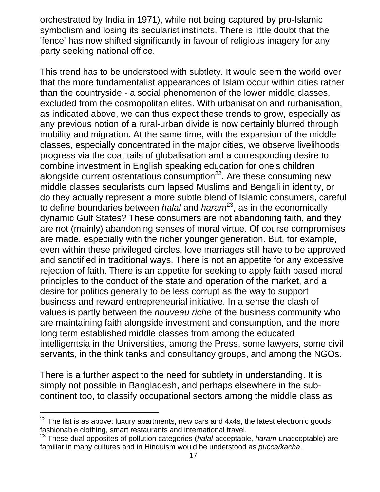orchestrated by India in 1971), while not being captured by pro-Islamic symbolism and losing its secularist instincts. There is little doubt that the 'fence' has now shifted significantly in favour of religious imagery for any party seeking national office.

This trend has to be understood with subtlety. It would seem the world over that the more fundamentalist appearances of Islam occur within cities rather than the countryside - a social phenomenon of the lower middle classes, excluded from the cosmopolitan elites. With urbanisation and rurbanisation, as indicated above, we can thus expect these trends to grow, especially as any previous notion of a rural-urban divide is now certainly blurred through mobility and migration. At the same time, with the expansion of the middle classes, especially concentrated in the major cities, we observe livelihoods progress via the coat tails of globalisation and a corresponding desire to combine investment in English speaking education for one's children alongside current ostentatious consumption $^{22}$ . Are these consuming new middle classes secularists cum lapsed Muslims and Bengali in identity, or do they actually represent a more subtle blend of Islamic consumers, careful to define boundaries between *halal* and *haram*23, as in the economically dynamic Gulf States? These consumers are not abandoning faith, and they are not (mainly) abandoning senses of moral virtue. Of course compromises are made, especially with the richer younger generation. But, for example, even within these privileged circles, love marriages still have to be approved and sanctified in traditional ways. There is not an appetite for any excessive rejection of faith. There is an appetite for seeking to apply faith based moral principles to the conduct of the state and operation of the market, and a desire for politics generally to be less corrupt as the way to support business and reward entrepreneurial initiative. In a sense the clash of values is partly between the *nouveau riche* of the business community who are maintaining faith alongside investment and consumption, and the more long term established middle classes from among the educated intelligentsia in the Universities, among the Press, some lawyers, some civil servants, in the think tanks and consultancy groups, and among the NGOs.

There is a further aspect to the need for subtlety in understanding. It is simply not possible in Bangladesh, and perhaps elsewhere in the subcontinent too, to classify occupational sectors among the middle class as

 $22$  The list is as above: luxury apartments, new cars and 4x4s, the latest electronic goods, fashionable clothing, smart restaurants and international travel.

<sup>23</sup> These dual opposites of pollution categories (*halal*-acceptable, *haram*-unacceptable) are familiar in many cultures and in Hinduism would be understood as *pucca/kacha*.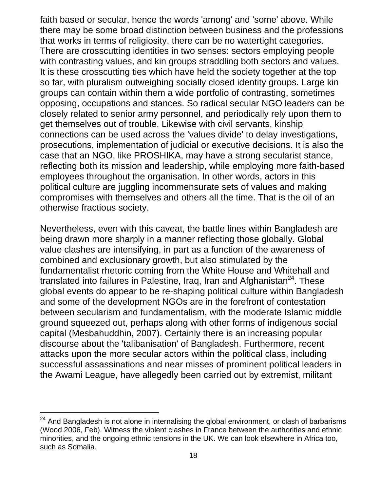faith based or secular, hence the words 'among' and 'some' above. While there may be some broad distinction between business and the professions that works in terms of religiosity, there can be no watertight categories. There are crosscutting identities in two senses: sectors employing people with contrasting values, and kin groups straddling both sectors and values. It is these crosscutting ties which have held the society together at the top so far, with pluralism outweighing socially closed identity groups. Large kin groups can contain within them a wide portfolio of contrasting, sometimes opposing, occupations and stances. So radical secular NGO leaders can be closely related to senior army personnel, and periodically rely upon them to get themselves out of trouble. Likewise with civil servants, kinship connections can be used across the 'values divide' to delay investigations, prosecutions, implementation of judicial or executive decisions. It is also the case that an NGO, like PROSHIKA, may have a strong secularist stance, reflecting both its mission and leadership, while employing more faith-based employees throughout the organisation. In other words, actors in this political culture are juggling incommensurate sets of values and making compromises with themselves and others all the time. That is the oil of an otherwise fractious society.

Nevertheless, even with this caveat, the battle lines within Bangladesh are being drawn more sharply in a manner reflecting those globally. Global value clashes are intensifying, in part as a function of the awareness of combined and exclusionary growth, but also stimulated by the fundamentalist rhetoric coming from the White House and Whitehall and translated into failures in Palestine, Iraq, Iran and Afghanistan<sup>24</sup>. These global events do appear to be re-shaping political culture within Bangladesh and some of the development NGOs are in the forefront of contestation between secularism and fundamentalism, with the moderate Islamic middle ground squeezed out, perhaps along with other forms of indigenous social capital (Mesbahuddhin, 2007). Certainly there is an increasing popular discourse about the 'talibanisation' of Bangladesh. Furthermore, recent attacks upon the more secular actors within the political class, including successful assassinations and near misses of prominent political leaders in the Awami League, have allegedly been carried out by extremist, militant

 $24$  And Bangladesh is not alone in internalising the global environment, or clash of barbarisms (Wood 2006, Feb). Witness the violent clashes in France between the authorities and ethnic minorities, and the ongoing ethnic tensions in the UK. We can look elsewhere in Africa too, such as Somalia.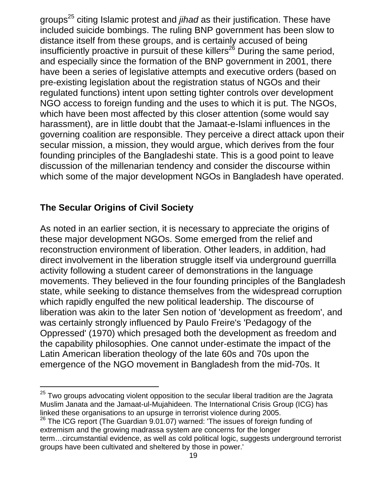groups<sup>25</sup> citing Islamic protest and *jihad* as their justification. These have included suicide bombings. The ruling BNP government has been slow to distance itself from these groups, and is certainly accused of being insufficiently proactive in pursuit of these killers<sup>26</sup> During the same period, and especially since the formation of the BNP government in 2001, there have been a series of legislative attempts and executive orders (based on pre-existing legislation about the registration status of NGOs and their regulated functions) intent upon setting tighter controls over development NGO access to foreign funding and the uses to which it is put. The NGOs, which have been most affected by this closer attention (some would say harassment), are in little doubt that the Jamaat-e-Islami influences in the governing coalition are responsible. They perceive a direct attack upon their secular mission, a mission, they would argue, which derives from the four founding principles of the Bangladeshi state. This is a good point to leave discussion of the millenarian tendency and consider the discourse within which some of the major development NGOs in Bangladesh have operated.

### **The Secular Origins of Civil Society**

l

As noted in an earlier section, it is necessary to appreciate the origins of these major development NGOs. Some emerged from the relief and reconstruction environment of liberation. Other leaders, in addition, had direct involvement in the liberation struggle itself via underground guerrilla activity following a student career of demonstrations in the language movements. They believed in the four founding principles of the Bangladesh state, while seeking to distance themselves from the widespread corruption which rapidly engulfed the new political leadership. The discourse of liberation was akin to the later Sen notion of 'development as freedom', and was certainly strongly influenced by Paulo Freire's 'Pedagogy of the Oppressed' (1970) which presaged both the development as freedom and the capability philosophies. One cannot under-estimate the impact of the Latin American liberation theology of the late 60s and 70s upon the emergence of the NGO movement in Bangladesh from the mid-70s. It

 $25$  Two groups advocating violent opposition to the secular liberal tradition are the Jagrata Muslim Janata and the Jamaat-ul-Mujahideen. The International Crisis Group (ICG) has linked these organisations to an upsurge in terrorist violence during 2005.

 $26$  The ICG report (The Guardian 9.01.07) warned: 'The issues of foreign funding of extremism and the growing madrassa system are concerns for the longer term…circumstantial evidence, as well as cold political logic, suggests underground terrorist groups have been cultivated and sheltered by those in power.'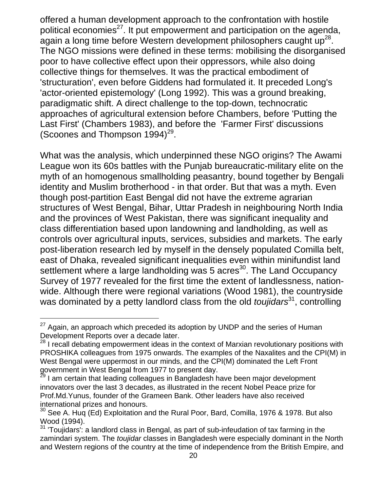offered a human development approach to the confrontation with hostile political economies<sup>27</sup>. It put empowerment and participation on the agenda, again a long time before Western development philosophers caught  $up^{28}$ . The NGO missions were defined in these terms: mobilising the disorganised poor to have collective effect upon their oppressors, while also doing collective things for themselves. It was the practical embodiment of 'structuration', even before Giddens had formulated it. It preceded Long's 'actor-oriented epistemology' (Long 1992). This was a ground breaking, paradigmatic shift. A direct challenge to the top-down, technocratic approaches of agricultural extension before Chambers, before 'Putting the Last First' (Chambers 1983), and before the 'Farmer First' discussions (Scoones and Thompson  $1994$ <sup>29</sup>.

What was the analysis, which underpinned these NGO origins? The Awami League won its 60s battles with the Punjab bureaucratic-military elite on the myth of an homogenous smallholding peasantry, bound together by Bengali identity and Muslim brotherhood - in that order. But that was a myth. Even though post-partition East Bengal did not have the extreme agrarian structures of West Bengal, Bihar, Uttar Pradesh in neighbouring North India and the provinces of West Pakistan, there was significant inequality and class differentiation based upon landowning and landholding, as well as controls over agricultural inputs, services, subsidies and markets. The early post-liberation research led by myself in the densely populated Comilla belt, east of Dhaka, revealed significant inequalities even within minifundist land settlement where a large landholding was 5 acres<sup>30</sup>. The Land Occupancy Survey of 1977 revealed for the first time the extent of landlessness, nationwide. Although there were regional variations (Wood 1981), the countryside was dominated by a petty landlord class from the old *toujidars*<sup>31</sup>, controlling

 $^{27}$  Again, an approach which preceded its adoption by UNDP and the series of Human Development Reports over a decade later.

 $28$  I recall debating empowerment ideas in the context of Marxian revolutionary positions with PROSHIKA colleagues from 1975 onwards. The examples of the Naxalites and the CPI(M) in West Bengal were uppermost in our minds, and the CPI(M) dominated the Left Front government in West Bengal from 1977 to present day.<br><sup>29</sup> I am certain that leading colleagues in Bangladesh have been major development

innovators over the last 3 decades, as illustrated in the recent Nobel Peace prize for Prof.Md.Yunus, founder of the Grameen Bank. Other leaders have also received international prizes and honours.

 $30$  See A. Huq (Ed) Exploitation and the Rural Poor, Bard, Comilla, 1976 & 1978. But also Wood (1994).

 $31$  'Toujidars': a landlord class in Bengal, as part of sub-infeudation of tax farming in the zamindari system. The *toujidar* classes in Bangladesh were especially dominant in the North and Western regions of the country at the time of independence from the British Empire, and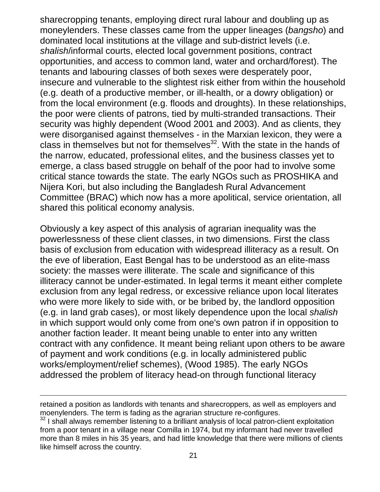sharecropping tenants, employing direct rural labour and doubling up as moneylenders. These classes came from the upper lineages (*bangsho*) and dominated local institutions at the village and sub-district levels (i.e. *shalish*/informal courts, elected local government positions, contract opportunities, and access to common land, water and orchard/forest). The tenants and labouring classes of both sexes were desperately poor, insecure and vulnerable to the slightest risk either from within the household (e.g. death of a productive member, or ill-health, or a dowry obligation) or from the local environment (e.g. floods and droughts). In these relationships, the poor were clients of patrons, tied by multi-stranded transactions. Their security was highly dependent (Wood 2001 and 2003). And as clients, they were disorganised against themselves - in the Marxian lexicon, they were a class in themselves but not for themselves $32$ . With the state in the hands of the narrow, educated, professional elites, and the business classes yet to emerge, a class based struggle on behalf of the poor had to involve some critical stance towards the state. The early NGOs such as PROSHIKA and Nijera Kori, but also including the Bangladesh Rural Advancement Committee (BRAC) which now has a more apolitical, service orientation, all shared this political economy analysis.

Obviously a key aspect of this analysis of agrarian inequality was the powerlessness of these client classes, in two dimensions. First the class basis of exclusion from education with widespread illiteracy as a result. On the eve of liberation, East Bengal has to be understood as an elite-mass society: the masses were illiterate. The scale and significance of this illiteracy cannot be under-estimated. In legal terms it meant either complete exclusion from any legal redress, or excessive reliance upon local literates who were more likely to side with, or be bribed by, the landlord opposition (e.g. in land grab cases), or most likely dependence upon the local *shalish* in which support would only come from one's own patron if in opposition to another faction leader. It meant being unable to enter into any written contract with any confidence. It meant being reliant upon others to be aware of payment and work conditions (e.g. in locally administered public works/employment/relief schemes), (Wood 1985). The early NGOs addressed the problem of literacy head-on through functional literacy

retained a position as landlords with tenants and sharecroppers, as well as employers and moenylenders. The term is fading as the agrarian structure re-configures.<br><sup>32</sup> I shall always remember listening to a brilliant analysis of local patron-client exploitation

from a poor tenant in a village near Comilla in 1974, but my informant had never travelled more than 8 miles in his 35 years, and had little knowledge that there were millions of clients like himself across the country.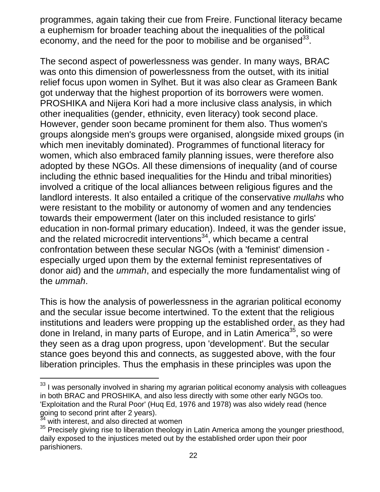programmes, again taking their cue from Freire. Functional literacy became a euphemism for broader teaching about the inequalities of the political economy, and the need for the poor to mobilise and be organised  $33$ .

The second aspect of powerlessness was gender. In many ways, BRAC was onto this dimension of powerlessness from the outset, with its initial relief focus upon women in Sylhet. But it was also clear as Grameen Bank got underway that the highest proportion of its borrowers were women. PROSHIKA and Nijera Kori had a more inclusive class analysis, in which other inequalities (gender, ethnicity, even literacy) took second place. However, gender soon became prominent for them also. Thus women's groups alongside men's groups were organised, alongside mixed groups (in which men inevitably dominated). Programmes of functional literacy for women, which also embraced family planning issues, were therefore also adopted by these NGOs. All these dimensions of inequality (and of course including the ethnic based inequalities for the Hindu and tribal minorities) involved a critique of the local alliances between religious figures and the landlord interests. It also entailed a critique of the conservative *mullahs* who were resistant to the mobility or autonomy of women and any tendencies towards their empowerment (later on this included resistance to girls' education in non-formal primary education). Indeed, it was the gender issue, and the related microcredit interventions $34$ , which became a central confrontation between these secular NGOs (with a 'feminist' dimension especially urged upon them by the external feminist representatives of donor aid) and the *ummah*, and especially the more fundamentalist wing of the *ummah*.

This is how the analysis of powerlessness in the agrarian political economy and the secular issue become intertwined. To the extent that the religious institutions and leaders were propping up the established order, as they had done in Ireland, in many parts of Europe, and in Latin America<sup>35</sup>, so were they seen as a drag upon progress, upon 'development'. But the secular stance goes beyond this and connects, as suggested above, with the four liberation principles. Thus the emphasis in these principles was upon the

 $33$  I was personally involved in sharing my agrarian political economy analysis with colleagues in both BRAC and PROSHIKA, and also less directly with some other early NGOs too. 'Exploitation and the Rural Poor' (Huq Ed, 1976 and 1978) was also widely read (hence going to second print after 2 years).<br> $34 \atop 4}$  with interest, and also directed at women

<sup>&</sup>lt;sup>35</sup> Precisely giving rise to liberation theology in Latin America among the younger priesthood, daily exposed to the injustices meted out by the established order upon their poor parishioners.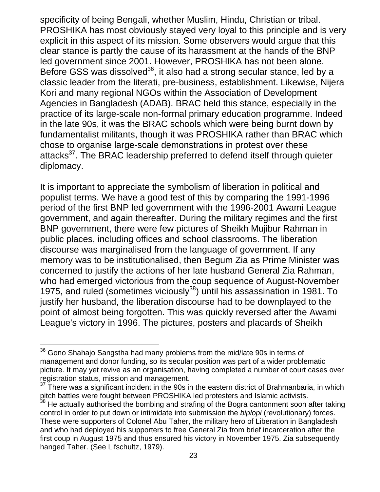specificity of being Bengali, whether Muslim, Hindu, Christian or tribal. PROSHIKA has most obviously stayed very loyal to this principle and is very explicit in this aspect of its mission. Some observers would argue that this clear stance is partly the cause of its harassment at the hands of the BNP led government since 2001. However, PROSHIKA has not been alone. Before GSS was dissolved<sup>36</sup>, it also had a strong secular stance, led by a classic leader from the literati, pre-business, establishment. Likewise, Nijera Kori and many regional NGOs within the Association of Development Agencies in Bangladesh (ADAB). BRAC held this stance, especially in the practice of its large-scale non-formal primary education programme. Indeed in the late 90s, it was the BRAC schools which were being burnt down by fundamentalist militants, though it was PROSHIKA rather than BRAC which chose to organise large-scale demonstrations in protest over these attacks<sup>37</sup>. The BRAC leadership preferred to defend itself through quieter diplomacy.

It is important to appreciate the symbolism of liberation in political and populist terms. We have a good test of this by comparing the 1991-1996 period of the first BNP led government with the 1996-2001 Awami League government, and again thereafter. During the military regimes and the first BNP government, there were few pictures of Sheikh Mujibur Rahman in public places, including offices and school classrooms. The liberation discourse was marginalised from the language of government. If any memory was to be institutionalised, then Begum Zia as Prime Minister was concerned to justify the actions of her late husband General Zia Rahman, who had emerged victorious from the coup sequence of August-November 1975, and ruled (sometimes viciously $^{38}$ ) until his assassination in 1981. To justify her husband, the liberation discourse had to be downplayed to the point of almost being forgotten. This was quickly reversed after the Awami League's victory in 1996. The pictures, posters and placards of Sheikh

 $36$  Gono Shahajo Sangstha had many problems from the mid/late 90s in terms of management and donor funding, so its secular position was part of a wider problematic picture. It may yet revive as an organisation, having completed a number of court cases over registration status, mission and management.

 $37$  There was a significant incident in the 90s in the eastern district of Brahmanbaria, in which pitch battles were fought between PROSHIKA led protesters and Islamic activists.

 $38$  He actually authorised the bombing and strafing of the Bogra cantonment soon after taking control in order to put down or intimidate into submission the *biplopi* (revolutionary) forces. These were supporters of Colonel Abu Taher, the military hero of Liberation in Bangladesh and who had deployed his supporters to free General Zia from brief incarceration after the first coup in August 1975 and thus ensured his victory in November 1975. Zia subsequently hanged Taher. (See Lifschultz, 1979).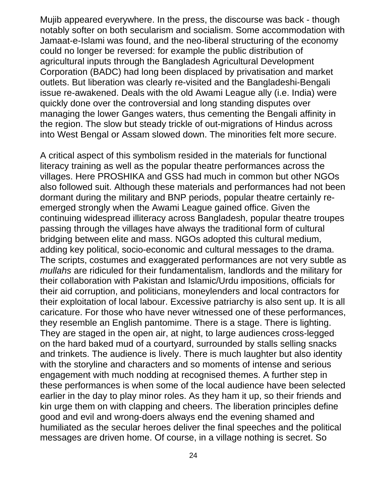Mujib appeared everywhere. In the press, the discourse was back - though notably softer on both secularism and socialism. Some accommodation with Jamaat-e-Islami was found, and the neo-liberal structuring of the economy could no longer be reversed: for example the public distribution of agricultural inputs through the Bangladesh Agricultural Development Corporation (BADC) had long been displaced by privatisation and market outlets. But liberation was clearly re-visited and the Bangladeshi-Bengali issue re-awakened. Deals with the old Awami League ally (i.e. India) were quickly done over the controversial and long standing disputes over managing the lower Ganges waters, thus cementing the Bengali affinity in the region. The slow but steady trickle of out-migrations of Hindus across into West Bengal or Assam slowed down. The minorities felt more secure.

A critical aspect of this symbolism resided in the materials for functional literacy training as well as the popular theatre performances across the villages. Here PROSHIKA and GSS had much in common but other NGOs also followed suit. Although these materials and performances had not been dormant during the military and BNP periods, popular theatre certainly reemerged strongly when the Awami League gained office. Given the continuing widespread illiteracy across Bangladesh, popular theatre troupes passing through the villages have always the traditional form of cultural bridging between elite and mass. NGOs adopted this cultural medium, adding key political, socio-economic and cultural messages to the drama. The scripts, costumes and exaggerated performances are not very subtle as *mullahs* are ridiculed for their fundamentalism, landlords and the military for their collaboration with Pakistan and Islamic/Urdu impositions, officials for their aid corruption, and politicians, moneylenders and local contractors for their exploitation of local labour. Excessive patriarchy is also sent up. It is all caricature. For those who have never witnessed one of these performances, they resemble an English pantomime. There is a stage. There is lighting. They are staged in the open air, at night, to large audiences cross-legged on the hard baked mud of a courtyard, surrounded by stalls selling snacks and trinkets. The audience is lively. There is much laughter but also identity with the storyline and characters and so moments of intense and serious engagement with much nodding at recognised themes. A further step in these performances is when some of the local audience have been selected earlier in the day to play minor roles. As they ham it up, so their friends and kin urge them on with clapping and cheers. The liberation principles define good and evil and wrong-doers always end the evening shamed and humiliated as the secular heroes deliver the final speeches and the political messages are driven home. Of course, in a village nothing is secret. So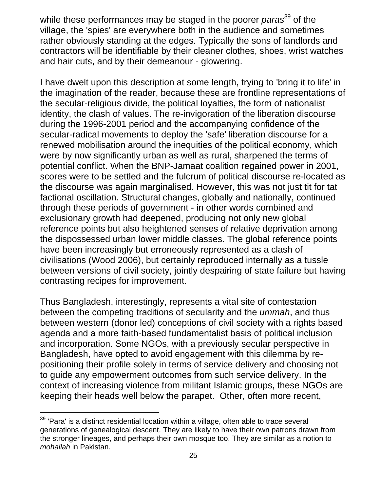while these performances may be staged in the poorer *paras*<sup>39</sup> of the village, the 'spies' are everywhere both in the audience and sometimes rather obviously standing at the edges. Typically the sons of landlords and contractors will be identifiable by their cleaner clothes, shoes, wrist watches and hair cuts, and by their demeanour - glowering.

I have dwelt upon this description at some length, trying to 'bring it to life' in the imagination of the reader, because these are frontline representations of the secular-religious divide, the political loyalties, the form of nationalist identity, the clash of values. The re-invigoration of the liberation discourse during the 1996-2001 period and the accompanying confidence of the secular-radical movements to deploy the 'safe' liberation discourse for a renewed mobilisation around the inequities of the political economy, which were by now significantly urban as well as rural, sharpened the terms of potential conflict. When the BNP-Jamaat coalition regained power in 2001, scores were to be settled and the fulcrum of political discourse re-located as the discourse was again marginalised. However, this was not just tit for tat factional oscillation. Structural changes, globally and nationally, continued through these periods of government - in other words combined and exclusionary growth had deepened, producing not only new global reference points but also heightened senses of relative deprivation among the dispossessed urban lower middle classes. The global reference points have been increasingly but erroneously represented as a clash of civilisations (Wood 2006), but certainly reproduced internally as a tussle between versions of civil society, jointly despairing of state failure but having contrasting recipes for improvement.

Thus Bangladesh, interestingly, represents a vital site of contestation between the competing traditions of secularity and the *ummah*, and thus between western (donor led) conceptions of civil society with a rights based agenda and a more faith-based fundamentalist basis of political inclusion and incorporation. Some NGOs, with a previously secular perspective in Bangladesh, have opted to avoid engagement with this dilemma by repositioning their profile solely in terms of service delivery and choosing not to guide any empowerment outcomes from such service delivery. In the context of increasing violence from militant Islamic groups, these NGOs are keeping their heads well below the parapet. Other, often more recent,

 $39$  'Para' is a distinct residential location within a village, often able to trace several generations of genealogical descent. They are likely to have their own patrons drawn from the stronger lineages, and perhaps their own mosque too. They are similar as a notion to *mohallah* in Pakistan.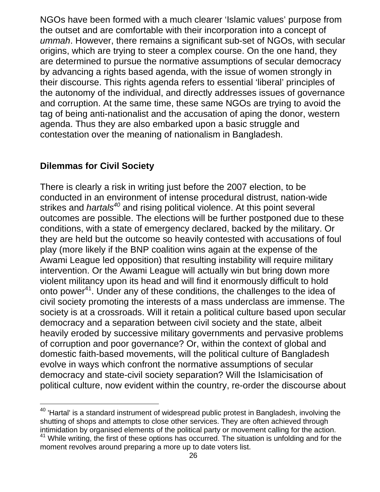NGOs have been formed with a much clearer 'Islamic values' purpose from the outset and are comfortable with their incorporation into a concept of *ummah*. However, there remains a significant sub-set of NGOs, with secular origins, which are trying to steer a complex course. On the one hand, they are determined to pursue the normative assumptions of secular democracy by advancing a rights based agenda, with the issue of women strongly in their discourse. This rights agenda refers to essential 'liberal' principles of the autonomy of the individual, and directly addresses issues of governance and corruption. At the same time, these same NGOs are trying to avoid the tag of being anti-nationalist and the accusation of aping the donor, western agenda. Thus they are also embarked upon a basic struggle and contestation over the meaning of nationalism in Bangladesh.

### **Dilemmas for Civil Society**

There is clearly a risk in writing just before the 2007 election, to be conducted in an environment of intense procedural distrust, nation-wide strikes and *hartals<sup>40</sup>* and rising political violence. At this point several outcomes are possible. The elections will be further postponed due to these conditions, with a state of emergency declared, backed by the military. Or they are held but the outcome so heavily contested with accusations of foul play (more likely if the BNP coalition wins again at the expense of the Awami League led opposition) that resulting instability will require military intervention. Or the Awami League will actually win but bring down more violent militancy upon its head and will find it enormously difficult to hold onto power<sup>41</sup>. Under any of these conditions, the challenges to the idea of civil society promoting the interests of a mass underclass are immense. The society is at a crossroads. Will it retain a political culture based upon secular democracy and a separation between civil society and the state, albeit heavily eroded by successive military governments and pervasive problems of corruption and poor governance? Or, within the context of global and domestic faith-based movements, will the political culture of Bangladesh evolve in ways which confront the normative assumptions of secular democracy and state-civil society separation? Will the Islamicisation of political culture, now evident within the country, re-order the discourse about

l  $40$  'Hartal' is a standard instrument of widespread public protest in Bangladesh, involving the shutting of shops and attempts to close other services. They are often achieved through intimidation by organised elements of the political party or movement calling for the action.<br><sup>41</sup> While writing, the first of these options has occurred. The situation is unfolding and for the moment revolves around preparing a more up to date voters list.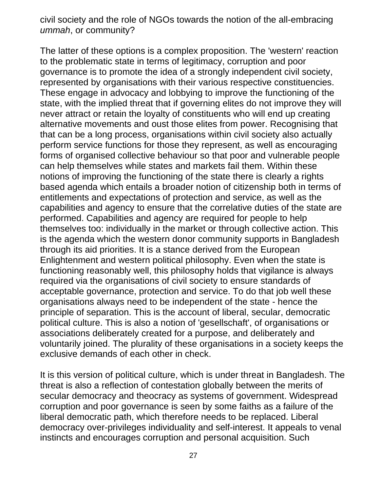civil society and the role of NGOs towards the notion of the all-embracing *ummah*, or community?

The latter of these options is a complex proposition. The 'western' reaction to the problematic state in terms of legitimacy, corruption and poor governance is to promote the idea of a strongly independent civil society, represented by organisations with their various respective constituencies. These engage in advocacy and lobbying to improve the functioning of the state, with the implied threat that if governing elites do not improve they will never attract or retain the loyalty of constituents who will end up creating alternative movements and oust those elites from power. Recognising that that can be a long process, organisations within civil society also actually perform service functions for those they represent, as well as encouraging forms of organised collective behaviour so that poor and vulnerable people can help themselves while states and markets fail them. Within these notions of improving the functioning of the state there is clearly a rights based agenda which entails a broader notion of citizenship both in terms of entitlements and expectations of protection and service, as well as the capabilities and agency to ensure that the correlative duties of the state are performed. Capabilities and agency are required for people to help themselves too: individually in the market or through collective action. This is the agenda which the western donor community supports in Bangladesh through its aid priorities. It is a stance derived from the European Enlightenment and western political philosophy. Even when the state is functioning reasonably well, this philosophy holds that vigilance is always required via the organisations of civil society to ensure standards of acceptable governance, protection and service. To do that job well these organisations always need to be independent of the state - hence the principle of separation. This is the account of liberal, secular, democratic political culture. This is also a notion of 'gesellschaft', of organisations or associations deliberately created for a purpose, and deliberately and voluntarily joined. The plurality of these organisations in a society keeps the exclusive demands of each other in check.

It is this version of political culture, which is under threat in Bangladesh. The threat is also a reflection of contestation globally between the merits of secular democracy and theocracy as systems of government. Widespread corruption and poor governance is seen by some faiths as a failure of the liberal democratic path, which therefore needs to be replaced. Liberal democracy over-privileges individuality and self-interest. It appeals to venal instincts and encourages corruption and personal acquisition. Such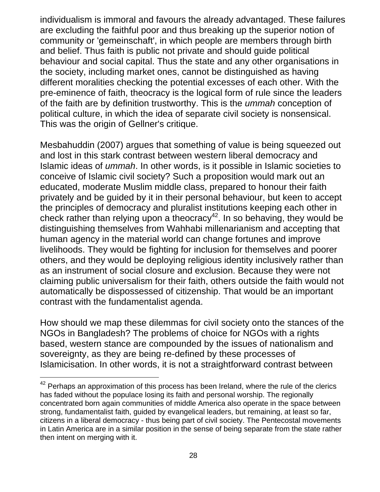individualism is immoral and favours the already advantaged. These failures are excluding the faithful poor and thus breaking up the superior notion of community or 'gemeinschaft', in which people are members through birth and belief. Thus faith is public not private and should guide political behaviour and social capital. Thus the state and any other organisations in the society, including market ones, cannot be distinguished as having different moralities checking the potential excesses of each other. With the pre-eminence of faith, theocracy is the logical form of rule since the leaders of the faith are by definition trustworthy. This is the *ummah* conception of political culture, in which the idea of separate civil society is nonsensical. This was the origin of Gellner's critique.

Mesbahuddin (2007) argues that something of value is being squeezed out and lost in this stark contrast between western liberal democracy and Islamic ideas of *ummah*. In other words, is it possible in Islamic societies to conceive of Islamic civil society? Such a proposition would mark out an educated, moderate Muslim middle class, prepared to honour their faith privately and be guided by it in their personal behaviour, but keen to accept the principles of democracy and pluralist institutions keeping each other in check rather than relying upon a theocracy<sup>42</sup>. In so behaving, they would be distinguishing themselves from Wahhabi millenarianism and accepting that human agency in the material world can change fortunes and improve livelihoods. They would be fighting for inclusion for themselves and poorer others, and they would be deploying religious identity inclusively rather than as an instrument of social closure and exclusion. Because they were not claiming public universalism for their faith, others outside the faith would not automatically be dispossessed of citizenship. That would be an important contrast with the fundamentalist agenda.

How should we map these dilemmas for civil society onto the stances of the NGOs in Bangladesh? The problems of choice for NGOs with a rights based, western stance are compounded by the issues of nationalism and sovereignty, as they are being re-defined by these processes of Islamicisation. In other words, it is not a straightforward contrast between

 $42$  Perhaps an approximation of this process has been Ireland, where the rule of the clerics has faded without the populace losing its faith and personal worship. The regionally concentrated born again communities of middle America also operate in the space between strong, fundamentalist faith, guided by evangelical leaders, but remaining, at least so far, citizens in a liberal democracy - thus being part of civil society. The Pentecostal movements in Latin America are in a similar position in the sense of being separate from the state rather then intent on merging with it.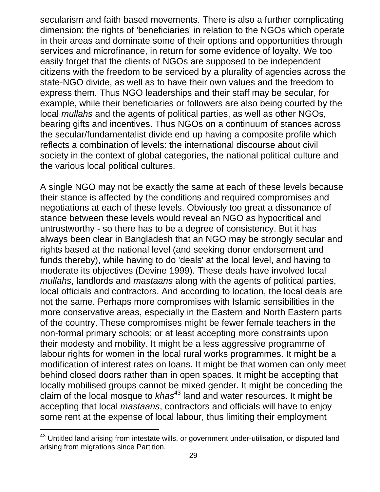secularism and faith based movements. There is also a further complicating dimension: the rights of 'beneficiaries' in relation to the NGOs which operate in their areas and dominate some of their options and opportunities through services and microfinance, in return for some evidence of loyalty. We too easily forget that the clients of NGOs are supposed to be independent citizens with the freedom to be serviced by a plurality of agencies across the state-NGO divide, as well as to have their own values and the freedom to express them. Thus NGO leaderships and their staff may be secular, for example, while their beneficiaries or followers are also being courted by the local *mullahs* and the agents of political parties, as well as other NGOs, bearing gifts and incentives. Thus NGOs on a continuum of stances across the secular/fundamentalist divide end up having a composite profile which reflects a combination of levels: the international discourse about civil society in the context of global categories, the national political culture and the various local political cultures.

A single NGO may not be exactly the same at each of these levels because their stance is affected by the conditions and required compromises and negotiations at each of these levels. Obviously too great a dissonance of stance between these levels would reveal an NGO as hypocritical and untrustworthy - so there has to be a degree of consistency. But it has always been clear in Bangladesh that an NGO may be strongly secular and rights based at the national level (and seeking donor endorsement and funds thereby), while having to do 'deals' at the local level, and having to moderate its objectives (Devine 1999). These deals have involved local *mullahs*, landlords and *mastaans* along with the agents of political parties, local officials and contractors. And according to location, the local deals are not the same. Perhaps more compromises with Islamic sensibilities in the more conservative areas, especially in the Eastern and North Eastern parts of the country. These compromises might be fewer female teachers in the non-formal primary schools; or at least accepting more constraints upon their modesty and mobility. It might be a less aggressive programme of labour rights for women in the local rural works programmes. It might be a modification of interest rates on loans. It might be that women can only meet behind closed doors rather than in open spaces. It might be accepting that locally mobilised groups cannot be mixed gender. It might be conceding the claim of the local mosque to *khas*<sup>43</sup> land and water resources. It might be accepting that local *mastaans*, contractors and officials will have to enjoy some rent at the expense of local labour, thus limiting their employment

<sup>&</sup>lt;sup>43</sup> Untitled land arising from intestate wills, or government under-utilisation, or disputed land arising from migrations since Partition.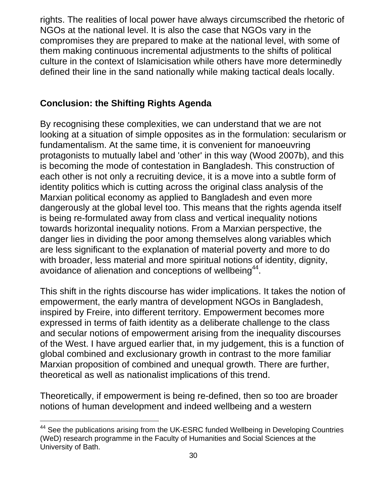rights. The realities of local power have always circumscribed the rhetoric of NGOs at the national level. It is also the case that NGOs vary in the compromises they are prepared to make at the national level, with some of them making continuous incremental adjustments to the shifts of political culture in the context of Islamicisation while others have more determinedly defined their line in the sand nationally while making tactical deals locally.

### **Conclusion: the Shifting Rights Agenda**

By recognising these complexities, we can understand that we are not looking at a situation of simple opposites as in the formulation: secularism or fundamentalism. At the same time, it is convenient for manoeuvring protagonists to mutually label and 'other' in this way (Wood 2007b), and this is becoming the mode of contestation in Bangladesh. This construction of each other is not only a recruiting device, it is a move into a subtle form of identity politics which is cutting across the original class analysis of the Marxian political economy as applied to Bangladesh and even more dangerously at the global level too. This means that the rights agenda itself is being re-formulated away from class and vertical inequality notions towards horizontal inequality notions. From a Marxian perspective, the danger lies in dividing the poor among themselves along variables which are less significant to the explanation of material poverty and more to do with broader, less material and more spiritual notions of identity, dignity, avoidance of alienation and conceptions of wellbeing<sup>44</sup>.

This shift in the rights discourse has wider implications. It takes the notion of empowerment, the early mantra of development NGOs in Bangladesh, inspired by Freire, into different territory. Empowerment becomes more expressed in terms of faith identity as a deliberate challenge to the class and secular notions of empowerment arising from the inequality discourses of the West. I have argued earlier that, in my judgement, this is a function of global combined and exclusionary growth in contrast to the more familiar Marxian proposition of combined and unequal growth. There are further, theoretical as well as nationalist implications of this trend.

Theoretically, if empowerment is being re-defined, then so too are broader notions of human development and indeed wellbeing and a western

l <sup>44</sup> See the publications arising from the UK-ESRC funded Wellbeing in Developing Countries (WeD) research programme in the Faculty of Humanities and Social Sciences at the University of Bath.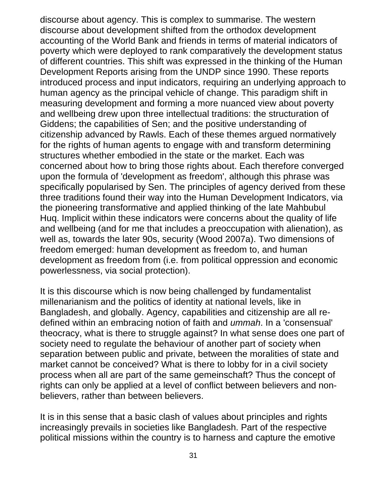discourse about agency. This is complex to summarise. The western discourse about development shifted from the orthodox development accounting of the World Bank and friends in terms of material indicators of poverty which were deployed to rank comparatively the development status of different countries. This shift was expressed in the thinking of the Human Development Reports arising from the UNDP since 1990. These reports introduced process and input indicators, requiring an underlying approach to human agency as the principal vehicle of change. This paradigm shift in measuring development and forming a more nuanced view about poverty and wellbeing drew upon three intellectual traditions: the structuration of Giddens; the capabilities of Sen; and the positive understanding of citizenship advanced by Rawls. Each of these themes argued normatively for the rights of human agents to engage with and transform determining structures whether embodied in the state or the market. Each was concerned about how to bring those rights about. Each therefore converged upon the formula of 'development as freedom', although this phrase was specifically popularised by Sen. The principles of agency derived from these three traditions found their way into the Human Development Indicators, via the pioneering transformative and applied thinking of the late Mahbubul Huq. Implicit within these indicators were concerns about the quality of life and wellbeing (and for me that includes a preoccupation with alienation), as well as, towards the later 90s, security (Wood 2007a). Two dimensions of freedom emerged: human development as freedom to, and human development as freedom from (i.e. from political oppression and economic powerlessness, via social protection).

It is this discourse which is now being challenged by fundamentalist millenarianism and the politics of identity at national levels, like in Bangladesh, and globally. Agency, capabilities and citizenship are all redefined within an embracing notion of faith and *ummah*. In a 'consensual' theocracy, what is there to struggle against? In what sense does one part of society need to regulate the behaviour of another part of society when separation between public and private, between the moralities of state and market cannot be conceived? What is there to lobby for in a civil society process when all are part of the same gemeinschaft? Thus the concept of rights can only be applied at a level of conflict between believers and nonbelievers, rather than between believers.

It is in this sense that a basic clash of values about principles and rights increasingly prevails in societies like Bangladesh. Part of the respective political missions within the country is to harness and capture the emotive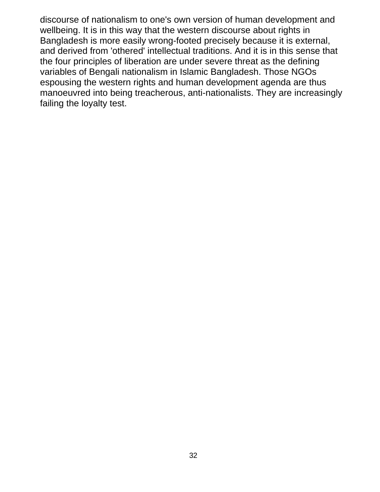discourse of nationalism to one's own version of human development and wellbeing. It is in this way that the western discourse about rights in Bangladesh is more easily wrong-footed precisely because it is external, and derived from 'othered' intellectual traditions. And it is in this sense that the four principles of liberation are under severe threat as the defining variables of Bengali nationalism in Islamic Bangladesh. Those NGOs espousing the western rights and human development agenda are thus manoeuvred into being treacherous, anti-nationalists. They are increasingly failing the loyalty test.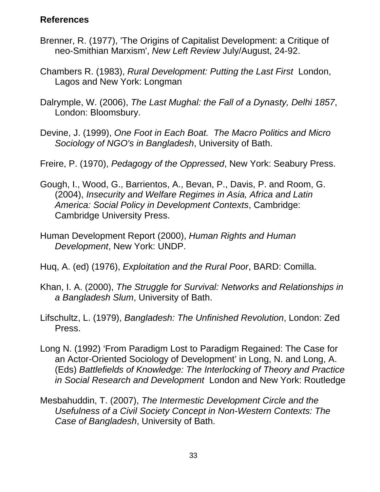### **References**

- Brenner, R. (1977), 'The Origins of Capitalist Development: a Critique of neo-Smithian Marxism', *New Left Review* July/August, 24-92.
- Chambers R. (1983), *Rural Development: Putting the Last First* London, Lagos and New York: Longman
- Dalrymple, W. (2006), *The Last Mughal: the Fall of a Dynasty, Delhi 1857*, London: Bloomsbury.
- Devine, J. (1999), *One Foot in Each Boat. The Macro Politics and Micro Sociology of NGO's in Bangladesh*, University of Bath.
- Freire, P. (1970), *Pedagogy of the Oppressed*, New York: Seabury Press.
- Gough, I., Wood, G., Barrientos, A., Bevan, P., Davis, P. and Room, G. (2004), *Insecurity and Welfare Regimes in Asia, Africa and Latin America: Social Policy in Development Contexts*, Cambridge: Cambridge University Press.
- Human Development Report (2000), *Human Rights and Human Development*, New York: UNDP.
- Huq, A. (ed) (1976), *Exploitation and the Rural Poor*, BARD: Comilla.
- Khan, I. A. (2000), *The Struggle for Survival: Networks and Relationships in a Bangladesh Slum*, University of Bath.
- Lifschultz, L. (1979), *Bangladesh: The Unfinished Revolution*, London: Zed Press.
- Long N. (1992) 'From Paradigm Lost to Paradigm Regained: The Case for an Actor-Oriented Sociology of Development' in Long, N. and Long, A. (Eds) *Battlefields of Knowledge: The Interlocking of Theory and Practice in Social Research and Development* London and New York: Routledge
- Mesbahuddin, T. (2007), *The Intermestic Development Circle and the Usefulness of a Civil Society Concept in Non-Western Contexts: The Case of Bangladesh*, University of Bath.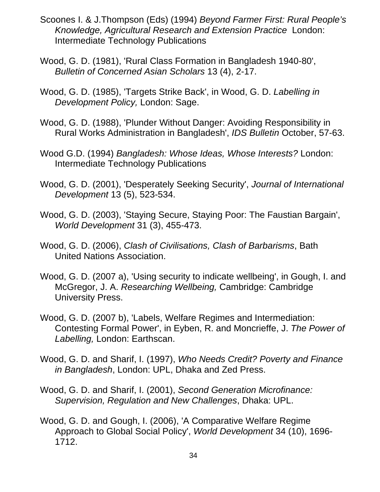- Scoones I. & J.Thompson (Eds) (1994) *Beyond Farmer First: Rural People's Knowledge, Agricultural Research and Extension Practice* London: Intermediate Technology Publications
- Wood, G. D. (1981), 'Rural Class Formation in Bangladesh 1940-80', *Bulletin of Concerned Asian Scholars* 13 (4), 2-17.
- Wood, G. D. (1985), 'Targets Strike Back', in Wood, G. D. *Labelling in Development Policy,* London: Sage.
- Wood, G. D. (1988), 'Plunder Without Danger: Avoiding Responsibility in Rural Works Administration in Bangladesh', *IDS Bulletin* October, 57-63.
- Wood G.D. (1994) *Bangladesh: Whose Ideas, Whose Interests?* London: Intermediate Technology Publications
- Wood, G. D. (2001), 'Desperately Seeking Security', *Journal of International Development* 13 (5), 523-534.
- Wood, G. D. (2003), 'Staying Secure, Staying Poor: The Faustian Bargain', *World Development* 31 (3), 455-473.
- Wood, G. D. (2006), *Clash of Civilisations, Clash of Barbarisms*, Bath United Nations Association.
- Wood, G. D. (2007 a), 'Using security to indicate wellbeing', in Gough, I. and McGregor, J. A. *Researching Wellbeing,* Cambridge: Cambridge University Press.
- Wood, G. D. (2007 b), 'Labels, Welfare Regimes and Intermediation: Contesting Formal Power', in Eyben, R. and Moncrieffe, J. *The Power of Labelling,* London: Earthscan.
- Wood, G. D. and Sharif, I. (1997), *Who Needs Credit? Poverty and Finance in Bangladesh*, London: UPL, Dhaka and Zed Press.
- Wood, G. D. and Sharif, I. (2001), *Second Generation Microfinance: Supervision, Regulation and New Challenges*, Dhaka: UPL.
- Wood, G. D. and Gough, I. (2006), 'A Comparative Welfare Regime Approach to Global Social Policy', *World Development* 34 (10), 1696- 1712.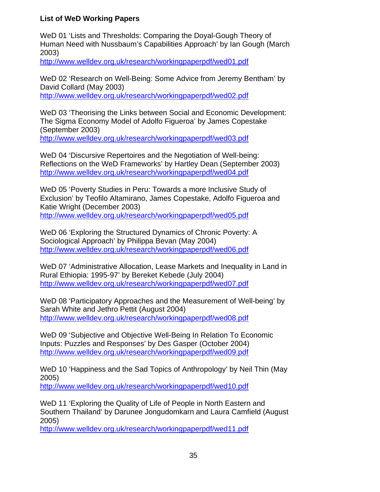#### **List of WeD Working Papers**

WeD 01 'Lists and Thresholds: Comparing the Doyal-Gough Theory of Human Need with Nussbaum's Capabilities Approach' by Ian Gough (March 2003)

http://www.welldev.org.uk/research/workingpaperpdf/wed01.pdf

WeD 02 'Research on Well-Being: Some Advice from Jeremy Bentham' by David Collard (May 2003) http://www.welldev.org.uk/research/workingpaperpdf/wed02.pdf

WeD 03 'Theorising the Links between Social and Economic Development: The Sigma Economy Model of Adolfo Figueroa' by James Copestake (September 2003) http://www.welldev.org.uk/research/workingpaperpdf/wed03.pdf

WeD 04 'Discursive Repertoires and the Negotiation of Well-being: Reflections on the WeD Frameworks' by Hartley Dean (September 2003) http://www.welldev.org.uk/research/workingpaperpdf/wed04.pdf

WeD 05 'Poverty Studies in Peru: Towards a more Inclusive Study of Exclusion' by Teofilo Altamirano, James Copestake, Adolfo Figueroa and Katie Wright (December 2003) http://www.welldev.org.uk/research/workingpaperpdf/wed05.pdf

WeD 06 'Exploring the Structured Dynamics of Chronic Poverty: A Sociological Approach' by Philippa Bevan (May 2004) http://www.welldev.org.uk/research/workingpaperpdf/wed06.pdf

WeD 07 'Administrative Allocation, Lease Markets and Inequality in Land in Rural Ethiopia: 1995-97' by Bereket Kebede (July 2004) http://www.welldev.org.uk/research/workingpaperpdf/wed07.pdf

WeD 08 'Participatory Approaches and the Measurement of Well-being' by Sarah White and Jethro Pettit (August 2004) http://www.welldev.org.uk/research/workingpaperpdf/wed08.pdf

WeD 09 'Subjective and Objective Well-Being In Relation To Economic Inputs: Puzzles and Responses' by Des Gasper (October 2004) http://www.welldev.org.uk/research/workingpaperpdf/wed09.pdf

WeD 10 'Happiness and the Sad Topics of Anthropology' by Neil Thin (May 2005)

http://www.welldev.org.uk/research/workingpaperpdf/wed10.pdf

WeD 11 'Exploring the Quality of Life of People in North Eastern and Southern Thailand' by Darunee Jongudomkarn and Laura Camfield (August 2005)

http://www.welldev.org.uk/research/workingpaperpdf/wed11.pdf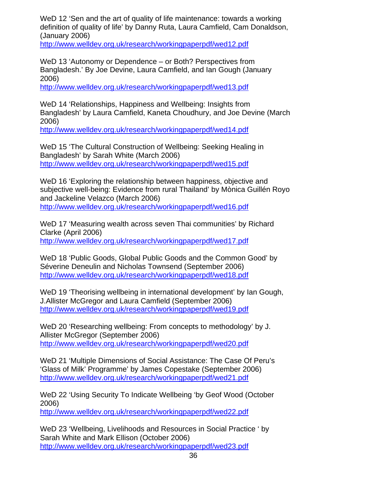WeD 12 'Sen and the art of quality of life maintenance: towards a working definition of quality of life' by Danny Ruta, Laura Camfield, Cam Donaldson, (January 2006)

http://www.welldev.org.uk/research/workingpaperpdf/wed12.pdf

WeD 13 'Autonomy or Dependence – or Both? Perspectives from Bangladesh.' By Joe Devine, Laura Camfield, and Ian Gough (January 2006)

http://www.welldev.org.uk/research/workingpaperpdf/wed13.pdf

WeD 14 'Relationships, Happiness and Wellbeing: Insights from Bangladesh' by Laura Camfield, Kaneta Choudhury, and Joe Devine (March 2006)

http://www.welldev.org.uk/research/workingpaperpdf/wed14.pdf

WeD 15 'The Cultural Construction of Wellbeing: Seeking Healing in Bangladesh' by Sarah White (March 2006) http://www.welldev.org.uk/research/workingpaperpdf/wed15.pdf

WeD 16 'Exploring the relationship between happiness, objective and subjective well-being: Evidence from rural Thailand' by Mònica Guillén Royo and Jackeline Velazco (March 2006) http://www.welldev.org.uk/research/workingpaperpdf/wed16.pdf

WeD 17 'Measuring wealth across seven Thai communities' by Richard Clarke (April 2006) http://www.welldev.org.uk/research/workingpaperpdf/wed17.pdf

WeD 18 'Public Goods, Global Public Goods and the Common Good' by Séverine Deneulin and Nicholas Townsend (September 2006) http://www.welldev.org.uk/research/workingpaperpdf/wed18.pdf

WeD 19 'Theorising wellbeing in international development' by Ian Gough, J.Allister McGregor and Laura Camfield (September 2006) http://www.welldev.org.uk/research/workingpaperpdf/wed19.pdf

WeD 20 'Researching wellbeing: From concepts to methodology' by J. Allister McGregor (September 2006) http://www.welldev.org.uk/research/workingpaperpdf/wed20.pdf

WeD 21 'Multiple Dimensions of Social Assistance: The Case Of Peru's 'Glass of Milk' Programme' by James Copestake (September 2006) http://www.welldev.org.uk/research/workingpaperpdf/wed21.pdf

WeD 22 'Using Security To Indicate Wellbeing 'by Geof Wood (October 2006)

http://www.welldev.org.uk/research/workingpaperpdf/wed22.pdf

WeD 23 'Wellbeing, Livelihoods and Resources in Social Practice ' by Sarah White and Mark Ellison (October 2006) http://www.welldev.org.uk/research/workingpaperpdf/wed23.pdf